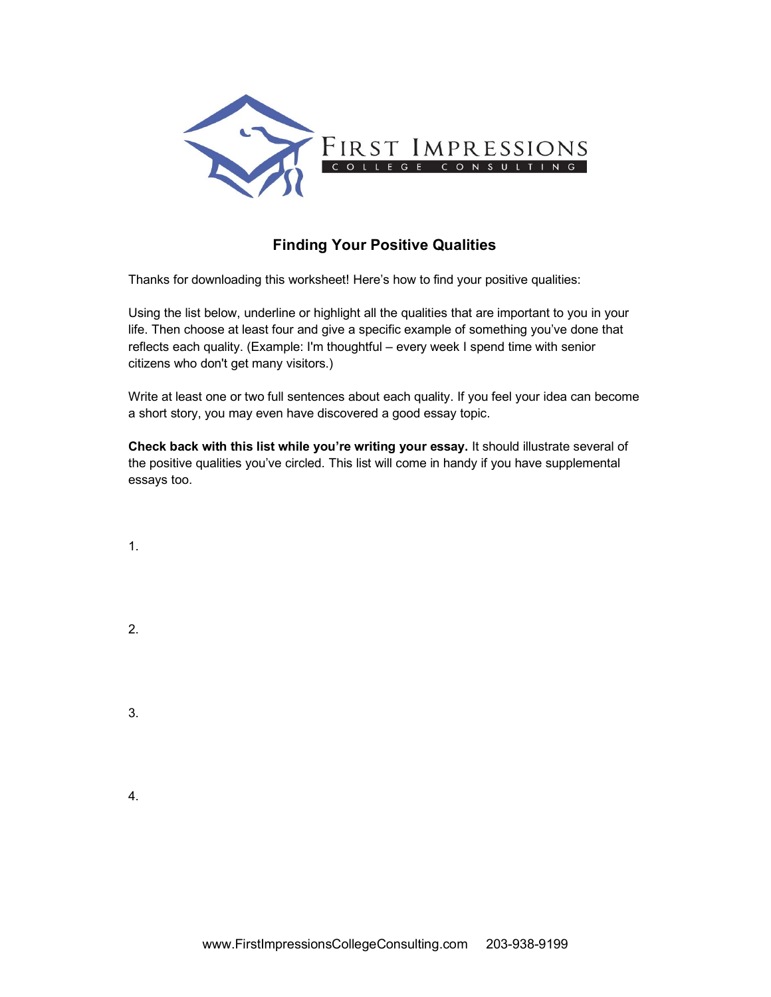

## **Finding Your Positive Qualities**

Thanks for downloading this worksheet! Here's how to find your positive qualities:

Using the list below, underline or highlight all the qualities that are important to you in your life. Then choose at least four and give a specific example of something you've done that reflects each quality. (Example: I'm thoughtful – every week I spend time with senior citizens who don't get many visitors.)

Write at least one or two full sentences about each quality. If you feel your idea can become a short story, you may even have discovered a good essay topic.

**Check back with this list while you're writing your essay.** It should illustrate several of the positive qualities you've circled. This list will come in handy if you have supplemental essays too.

1.

2.

3.

4.